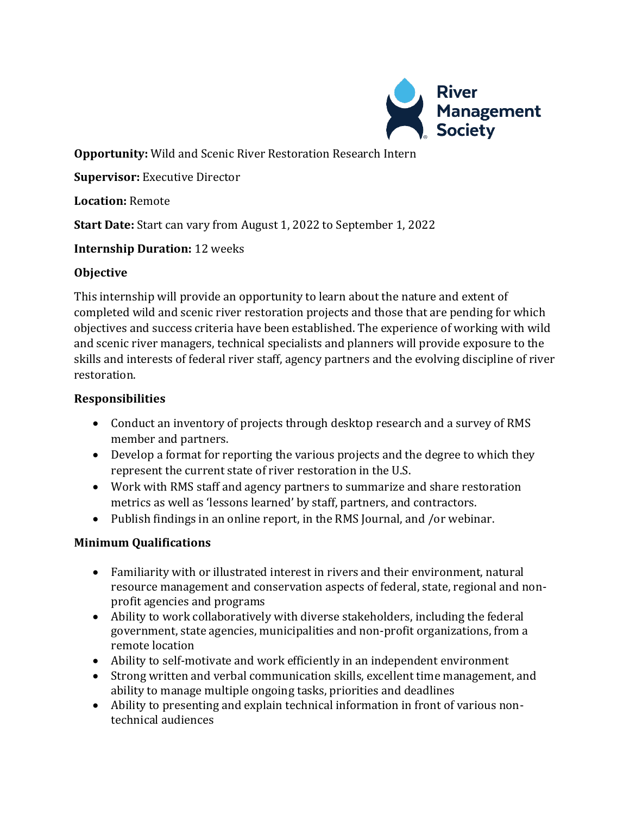

**Opportunity:** Wild and Scenic River Restoration Research Intern

**Supervisor:** Executive Director

**Location:** Remote

**Start Date:** Start can vary from August 1, 2022 to September 1, 2022

# **Internship Duration:** 12 weeks

#### **Objective**

This internship will provide an opportunity to learn about the nature and extent of completed wild and scenic river restoration projects and those that are pending for which objectives and success criteria have been established. The experience of working with wild and scenic river managers, technical specialists and planners will provide exposure to the skills and interests of federal river staff, agency partners and the evolving discipline of river restoration.

#### **Responsibilities**

- Conduct an inventory of projects through desktop research and a survey of RMS member and partners.
- Develop a format for reporting the various projects and the degree to which they represent the current state of river restoration in the U.S.
- Work with RMS staff and agency partners to summarize and share restoration metrics as well as 'lessons learned' by staff, partners, and contractors.
- Publish findings in an online report, in the RMS Journal, and /or webinar.

# **Minimum Qualifications**

- Familiarity with or illustrated interest in rivers and their environment, natural resource management and conservation aspects of federal, state, regional and nonprofit agencies and programs
- Ability to work collaboratively with diverse stakeholders, including the federal government, state agencies, municipalities and non-profit organizations, from a remote location
- Ability to self-motivate and work efficiently in an independent environment
- Strong written and verbal communication skills, excellent time management, and ability to manage multiple ongoing tasks, priorities and deadlines
- Ability to presenting and explain technical information in front of various nontechnical audiences